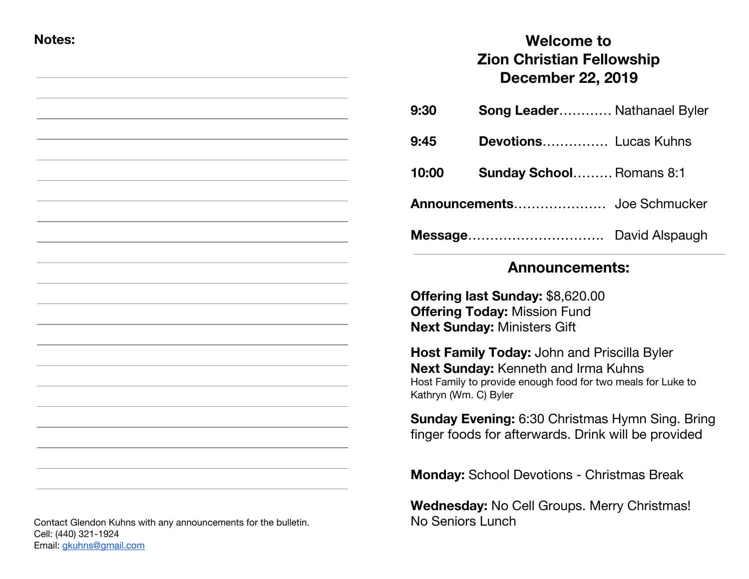#### **Notes:**

# **Welcome to Zion Christian Fellowship December 22, 2019**

| 9:30  | <b>Song Leader Nathanael Byler</b> |                |
|-------|------------------------------------|----------------|
| 9:45  | <b>Devotions</b> Lucas Kuhns       |                |
| 10:00 | <b>Sunday School Romans 8:1</b>    |                |
|       |                                    |                |
|       | Message                            | David Alspaugh |

## **Announcements:**

**Offering last Sunday:** \$8,620.00 **Offering Today:** Mission Fund **Next Sunday:** Ministers Gift

**Host Family Today:** John and Priscilla Byler **Next Sunday:** Kenneth and Irma Kuhns Host Family to provide enough food for two meals for Luke to Kathryn (Wm. C) Byler

**Sunday Evening:** 6:30 Christmas Hymn Sing. Bring finger foods for afterwards. Drink will be provided

**Monday:** School Devotions - Christmas Break

**Wednesday:** No Cell Groups. Merry Christmas! No Seniors Lunch

Contact Glendon Kuhns with any announcements for the bulletin. Cell: (440) 321-1924 Email: [gkuhns@gmail.com](mailto:gkuhns@gmail.com)